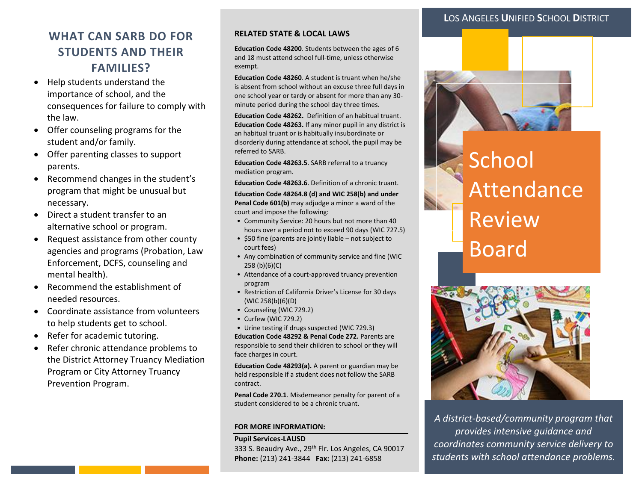### **L**OS ANGELES **U**NIFIED **S**CHOOL **D**ISTRICT

# **WHAT CAN SARB DO FOR STUDENTS AND THEIR FAMILIES?**

- Help students understand the importance of school, and the consequences for failure to comply with the law.
- Offer counseling programs for the student and/or family.
- Offer parenting classes to support parents.
- Recommend changes in the student's program that might be unusual but necessary.
- Direct a student transfer to an alternative school or program.
- Request assistance from other county agencies and programs (Probation, Law Enforcement, DCFS, counseling and mental health).
- Recommend the establishment of needed resources.
- Coordinate assistance from volunteers to help students get to school.
- Refer for academic tutoring.
- Refer chronic attendance problems to the District Attorney Truancy Mediation Program or City Attorney Truancy Prevention Program.

#### **RELATED STATE & LOCAL LAWS**

**Education Code 48200**. Students between the ages of 6 and 18 must attend school full-time, unless otherwise exempt.

**Education Code 48260**. A student is truant when he/she is absent from school without an excuse three full days in one school year or tardy or absent for more than any 30 minute period during the school day three times.

**Education Code 48262.** Definition of an habitual truant. **Education Code 48263.** If any minor pupil in any district is an habitual truant or is habitually insubordinate or disorderly during attendance at school, the pupil may be referred to SARB.

**Education Code 48263.5**. SARB referral to a truancy mediation program.

**Education Code 48263.6**. Definition of a chronic truant.

**Education Code 48264.8 (d) and WIC 258(b) and under Penal Code 601(b)** may adjudge a minor a ward of the court and impose the following:

- Community Service: 20 hours but not more than 40 hours over a period not to exceed 90 days (WIC 727.5)
- \$50 fine (parents are jointly liable not subject to court fees)
- Any combination of community service and fine (WIC 258 (b)(6)(C)
- Attendance of a court-approved truancy prevention program
- Restriction of California Driver's License for 30 days (WIC 258(b)(6)(D)
- Counseling (WIC 729.2)
- Curfew (WIC 729.2)

• Urine testing if drugs suspected (WIC 729.3) **Education Code 48292 & Penal Code 272.** Parents are responsible to send their children to school or they will face charges in court.

**Education Code 48293(a).** A parent or guardian may be held responsible if a student does not follow the SARB contract.

**Penal Code 270.1**. Misdemeanor penalty for parent of a student considered to be a chronic truant.

#### **FOR MORE INFORMATION:**

#### **Pupil Services-LAUSD**

333 S. Beaudry Ave., 29<sup>th</sup> Flr. Los Angeles, CA 90017 **Phone:** (213) 241-3844 **Fax:** (213) 241-6858



# School Attendance Review Board



*A district-based/community program that provides intensive guidance and coordinates community service delivery to students with school attendance problems.*